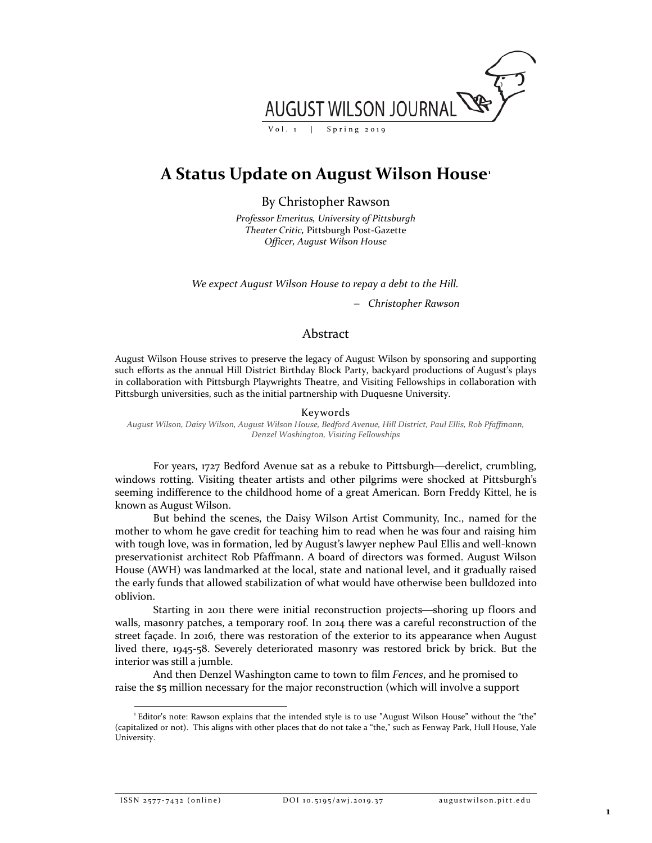

# **A Status Update on August Wilson House[1](#page-0-0)**

By Christopher Rawson

*Professor Emeritus, University of Pittsburgh Theater Critic,* Pittsburgh Post-Gazette *Officer, August Wilson House*

*We expect August Wilson House to repay a debt to the Hill.*

− *Christopher Rawson*

## Abstract

August Wilson House strives to preserve the legacy of August Wilson by sponsoring and supporting such efforts as the annual Hill District Birthday Block Party, backyard productions of August's plays in collaboration with Pittsburgh Playwrights Theatre, and Visiting Fellowships in collaboration with Pittsburgh universities, such as the initial partnership with Duquesne University.

#### Keywords

*August Wilson, Daisy Wilson, August Wilson House, Bedford Avenue, Hill District, Paul Ellis, Rob Pfaffmann, Denzel Washington, Visiting Fellowships*

For years, 1727 Bedford Avenue sat as a rebuke to Pittsburgh—derelict, crumbling, windows rotting. Visiting theater artists and other pilgrims were shocked at Pittsburgh's seeming indifference to the childhood home of a great American. Born Freddy Kittel, he is known as August Wilson.

But behind the scenes, the Daisy Wilson Artist Community, Inc., named for the mother to whom he gave credit for teaching him to read when he was four and raising him with tough love, was in formation, led by August's lawyer nephew Paul Ellis and well-known preservationist architect Rob Pfaffmann. A board of directors was formed. August Wilson House (AWH) was landmarked at the local, state and national level, and it gradually raised the early funds that allowed stabilization of what would have otherwise been bulldozed into oblivion.

Starting in 2011 there were initial reconstruction projects—shoring up floors and walls, masonry patches, a temporary roof. In 2014 there was a careful reconstruction of the street façade. In 2016, there was restoration of the exterior to its appearance when August lived there, 1945-58. Severely deteriorated masonry was restored brick by brick. But the interior was still a jumble.

And then Denzel Washington came to town to film *Fences*, and he promised to raise the \$5 million necessary for the major reconstruction (which will involve a support

ISSN 2577-7432 (online) DOI 10.5195/awj.2019.37 augustwilson.pitt.edu

<span id="page-0-0"></span><sup>|&</sup>lt;br>|<br>| Editor's note: Rawson explains that the intended style is to use "August Wilson House" without the "the" (capitalized or not). This aligns with other places that do not take a "the," such as Fenway Park, Hull House, Yale University.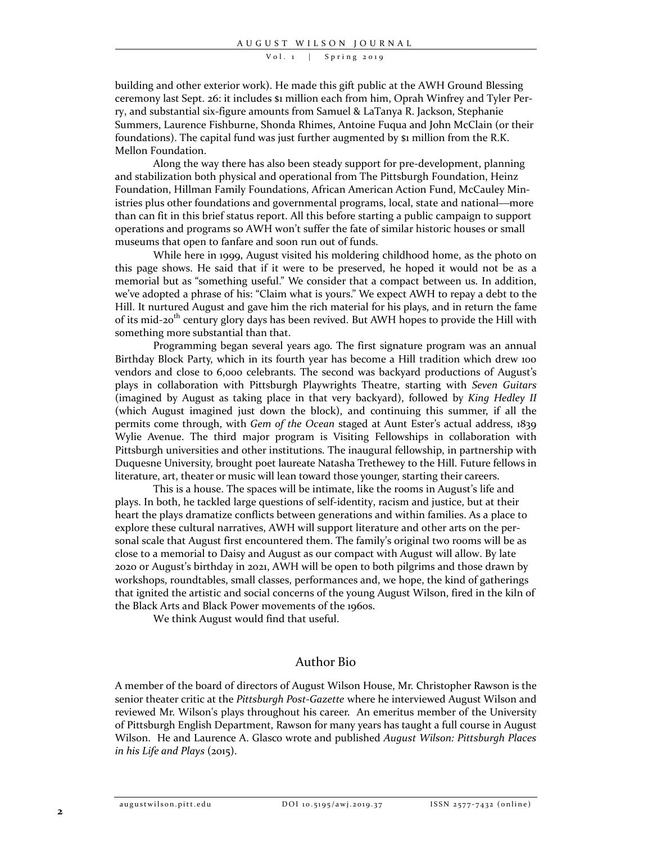#### Vol. 1 | Spring 2019

building and other exterior work). He made this gift public at the AWH Ground Blessing ceremony last Sept. 26: it includes \$1 million each from him, Oprah Winfrey and Tyler Perry, and substantial six-figure amounts from Samuel & LaTanya R. Jackson, Stephanie Summers, Laurence Fishburne, Shonda Rhimes, Antoine Fuqua and John McClain (or their foundations). The capital fund was just further augmented by \$1 million from the R.K. Mellon Foundation.

Along the way there has also been steady support for pre-development, planning and stabilization both physical and operational from The Pittsburgh Foundation, Heinz Foundation, Hillman Family Foundations, African American Action Fund, McCauley Ministries plus other foundations and governmental programs, local, state and national—more than can fit in this brief status report. All this before starting a public campaign to support operations and programs so AWH won't suffer the fate of similar historic houses or small museums that open to fanfare and soon run out of funds.

While here in 1999, August visited his moldering childhood home, as the photo on this page shows. He said that if it were to be preserved, he hoped it would not be as a memorial but as "something useful." We consider that a compact between us. In addition, we've adopted a phrase of his: "Claim what is yours." We expect AWH to repay a debt to the Hill. It nurtured August and gave him the rich material for his plays, and in return the fame of its mid-20<sup>th</sup> century glory days has been revived. But AWH hopes to provide the Hill with something more substantial than that.

Programming began several years ago. The first signature program was an annual Birthday Block Party, which in its fourth year has become a Hill tradition which drew 100 vendors and close to 6,000 celebrants. The second was backyard productions of August's plays in collaboration with Pittsburgh Playwrights Theatre, starting with *Seven Guitars* (imagined by August as taking place in that very backyard), followed by *King Hedley II* (which August imagined just down the block), and continuing this summer, if all the permits come through, with *Gem of the Ocean* staged at Aunt Ester's actual address, 1839 Wylie Avenue. The third major program is Visiting Fellowships in collaboration with Pittsburgh universities and other institutions. The inaugural fellowship, in partnership with Duquesne University, brought poet laureate Natasha Trethewey to the Hill. Future fellows in literature, art, theater or music will lean toward those younger, starting their careers.

This is a house. The spaces will be intimate, like the rooms in August's life and plays. In both, he tackled large questions of self-identity, racism and justice, but at their heart the plays dramatize conflicts between generations and within families. As a place to explore these cultural narratives, AWH will support literature and other arts on the personal scale that August first encountered them. The family's original two rooms will be as close to a memorial to Daisy and August as our compact with August will allow. By late 2020 or August's birthday in 2021, AWH will be open to both pilgrims and those drawn by workshops, roundtables, small classes, performances and, we hope, the kind of gatherings that ignited the artistic and social concerns of the young August Wilson, fired in the kiln of the Black Arts and Black Power movements of the 1960s.

We think August would find that useful.

### Author Bio

A member of the board of directors of August Wilson House, Mr. Christopher Rawson is the senior theater critic at the *Pittsburgh Post-Gazette* where he interviewed August Wilson and reviewed Mr. Wilson's plays throughout his career. An emeritus member of the University of Pittsburgh English Department, Rawson for many years has taught a full course in August Wilson. He and Laurence A. Glasco wrote and published *August Wilson: Pittsburgh Places in his Life and Plays* (2015).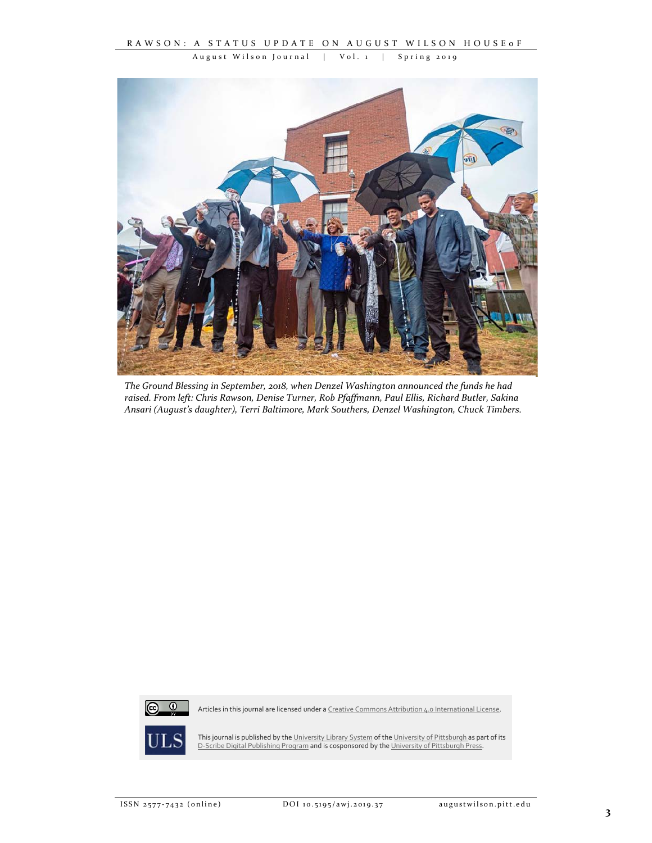August Wilson Journal | Vol. 1 | Spring 2019



*The Ground Blessing in September, 2018, when Denzel Washington announced the funds he had raised. From left: Chris Rawson, Denise Turner, Rob Pfaffmann, Paul Ellis, Richard Butler, Sakina Ansari (August's daughter), Terri Baltimore, Mark Southers, Denzel Washington, Chuck Timbers.*



Articles in this journal are licensed under a Creative [Commons Attribution 4.0 International License.](https://creativecommons.org/licenses/by/4.0/)



This journal is published by th[e University Library System](http://www.library.pitt.edu/) of th[e University of Pittsburgh](http://www.pitt.edu/) as part of its [D-Scribe Digital Publishing Program](http://www.library.pitt.edu/d-scribe-digital-collections) and is cosponsored by th[e University of Pittsburgh Press.](http://upress.pitt.edu/)